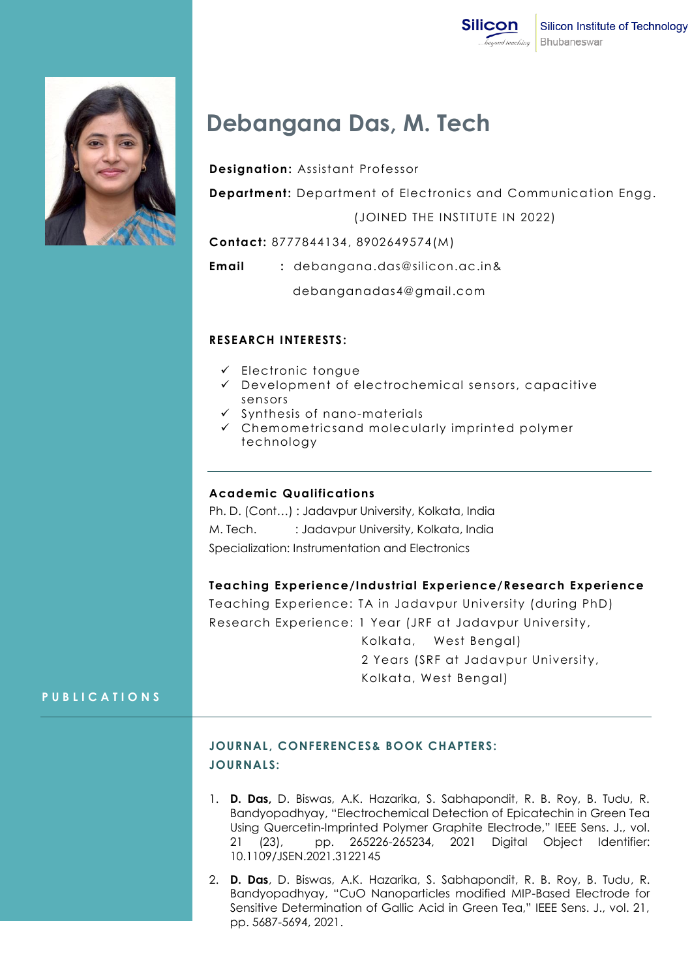

# **Debangana Das, M. Tech**

## **Designation:** Assistant Professor

**Department:** Department of Electronics and Communication Engg.

(JOINED THE INSTITUTE IN 2022)

**Contact:** 8777844134, 8902649574(M)

**Email :** debangana.das@silicon.ac.in&

debanganadas4@gmail.com

## **RESEARCH INTERESTS:**

- $\checkmark$  Electronic tongue
- $\checkmark$  Development of electrochemical sensors, capacitive sensors
- $\checkmark$  Synthesis of nano-materials
- Chemometricsand molecularly imprinted polymer technology

## **Academic Qualifications**

Ph. D. (Cont…) : Jadavpur University, Kolkata, India M. Tech. : Jadavpur University, Kolkata, India Specialization: Instrumentation and Electronics

## **Teaching Experience/Industrial Experience/Research Experience**

Teaching Experience: TA in Jadavpur University (during PhD) Research Experience: 1 Year (JRF at Jadavpur University, Kolkata, West Bengal) 2 Years (SRF at Jadavpur University,

Kolkata, West Bengal)

## **P U B L I C A T I O N S**

## **JOURNAL , CONFERENCES& BOOK CHAPTERS: JOURNALS:**

- 1. **D. Das,** D. Biswas, A.K. Hazarika, S. Sabhapondit, R. B. Roy, B. Tudu, R. Bandyopadhyay, "Electrochemical Detection of Epicatechin in Green Tea Using Quercetin-Imprinted Polymer Graphite Electrode," IEEE Sens. J., vol. 21 (23), pp. 265226-265234, 2021 Digital Object Identifier: 10.1109/JSEN.2021.3122145
- 2. **D. Das**, D. Biswas, A.K. Hazarika, S. Sabhapondit, R. B. Roy, B. Tudu, R. Bandyopadhyay, "CuO Nanoparticles modified MIP-Based Electrode for Sensitive Determination of Gallic Acid in Green Tea," IEEE Sens. J., vol. 21, pp. 5687-5694, 2021.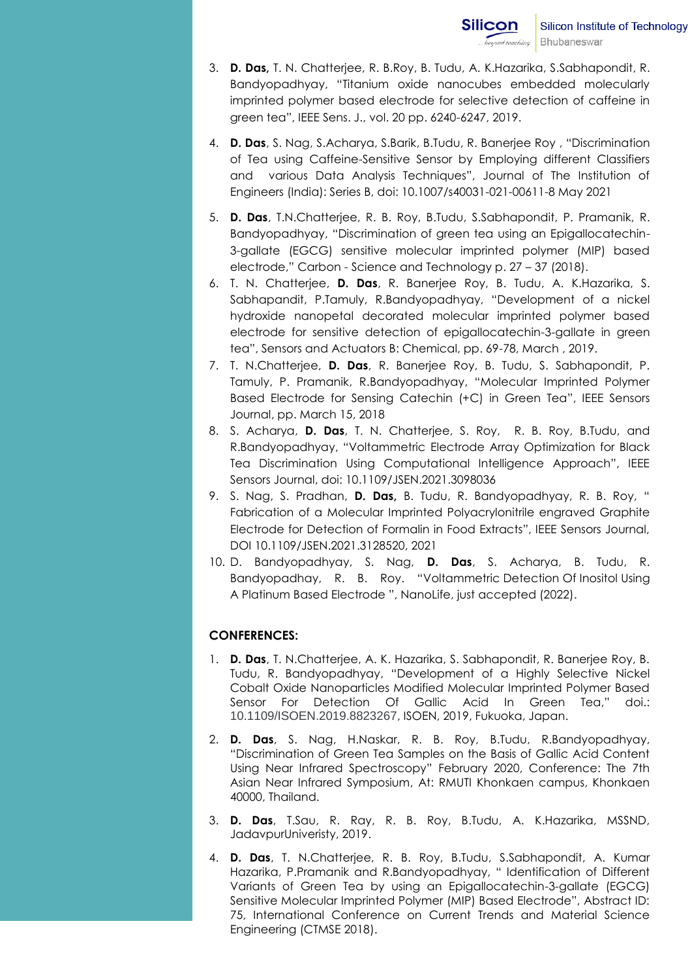- 3. **D. Das,** T. N. Chatterjee, R. B.Roy, B. Tudu, A. K.Hazarika, S.Sabhapondit, R. Bandyopadhyay, "Titanium oxide nanocubes embedded molecularly imprinted polymer based electrode for selective detection of caffeine in green tea", IEEE Sens. J., vol. 20 pp. 6240-6247, 2019.
- 4. **D. Das**, S. Nag, S.Acharya, S.Barik, B.Tudu, R. Banerjee Roy , "Discrimination of Tea using Caffeine-Sensitive Sensor by Employing different Classifiers and various Data Analysis Techniques", Journal of The Institution of Engineers (India): Series B, doi: 10.1007/s40031-021-00611-8 May 2021
- 5. **D. Das**, T.N.Chatterjee, R. B. Roy, B.Tudu, S.Sabhapondit, P. Pramanik, R. Bandyopadhyay, "Discrimination of green tea using an Epigallocatechin-3-gallate (EGCG) sensitive molecular imprinted polymer (MIP) based electrode," Carbon - Science and Technology p. 27 – 37 (2018).
- 6. T. N. Chatterjee, **D. Das**, R. Banerjee Roy, B. Tudu, A. K.Hazarika, S. Sabhapandit, P.Tamuly, R.Bandyopadhyay, "Development of a nickel hydroxide nanopetal decorated molecular imprinted polymer based electrode for sensitive detection of epigallocatechin-3-gallate in green tea", Sensors and Actuators B: Chemical, pp. 69-78, March , 2019.
- 7. T. N.Chatterjee, **D. Das**, R. Banerjee Roy, B. Tudu, S. Sabhapondit, P. Tamuly, P. Pramanik, R.Bandyopadhyay, "Molecular Imprinted Polymer Based Electrode for Sensing Catechin (+C) in Green Tea", IEEE Sensors Journal, pp. March 15, 2018
- 8. S. Acharya, **D. Das**, T. N. Chatterjee, S. Roy, R. B. Roy, B.Tudu, and R.Bandyopadhyay, "Voltammetric Electrode Array Optimization for Black Tea Discrimination Using Computational Intelligence Approach", IEEE Sensors Journal, doi: 10.1109/JSEN.2021.3098036
- 9. S. Nag, S. Pradhan, **D. Das,** B. Tudu, R. Bandyopadhyay, R. B. Roy, " Fabrication of a Molecular Imprinted Polyacrylonitrile engraved Graphite Electrode for Detection of Formalin in Food Extracts", IEEE Sensors Journal, DOI 10.1109/JSEN.2021.3128520, 2021
- 10. D. Bandyopadhyay, S. Nag, **D. Das**, S. Acharya, B. Tudu, R. Bandyopadhay, R. B. Roy. "Voltammetric Detection Of Inositol Using A Platinum Based Electrode ", NanoLife, just accepted (2022).

## **CONFERENCES:**

- 1. **D. Das**, T. N.Chatterjee, A. K. Hazarika, S. Sabhapondit, R. Banerjee Roy, B. Tudu, R. Bandyopadhyay, "Development of a Highly Selective Nickel Cobalt Oxide Nanoparticles Modified Molecular Imprinted Polymer Based Sensor For Detection Of Gallic Acid In Green Tea," doi.: 10.1109/ISOEN.2019.8823267, ISOEN, 2019, Fukuoka, Japan.
- 2. **D. Das**, S. Nag, H.Naskar, R. B. Roy, B.Tudu, R.Bandyopadhyay, "Discrimination of Green Tea Samples on the Basis of Gallic Acid Content Using Near Infrared Spectroscopy" February 2020, Conference: The 7th Asian Near Infrared Symposium, At: RMUTI Khonkaen campus, Khonkaen 40000, Thailand.
- 3. **D. Das**, T.Sau, R. Ray, R. B. Roy, B.Tudu, A. K.Hazarika, MSSND, JadavpurUniveristy, 2019.
- 4. **D. Das**, T. N.Chatterjee, R. B. Roy, B.Tudu, S.Sabhapondit, A. Kumar Hazarika, P.Pramanik and R.Bandyopadhyay, " Identification of Different Variants of Green Tea by using an Epigallocatechin-3-gallate (EGCG) Sensitive Molecular Imprinted Polymer (MIP) Based Electrode", Abstract ID: 75, International Conference on Current Trends and Material Science Engineering (CTMSE 2018).